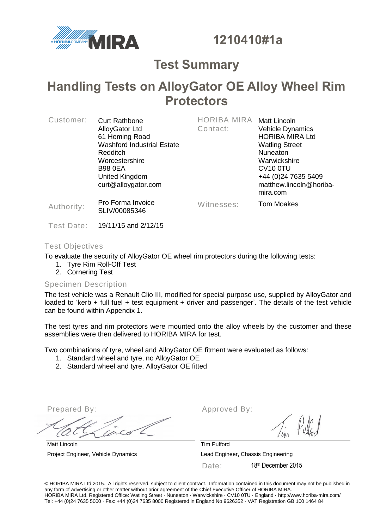

**1210410#1a**

## **Test Summary**

## **Handling Tests on AlloyGator OE Alloy Wheel Rim Protectors**

| Customer:  | <b>Curt Rathbone</b><br><b>AlloyGator Ltd</b><br>61 Heming Road<br><b>Washford Industrial Estate</b><br>Redditch<br>Worcestershire<br><b>B98 0EA</b><br>United Kingdom<br>curt@alloygator.com | <b>HORIBA MIRA</b><br>Contact: | <b>Matt Lincoln</b><br><b>Vehicle Dynamics</b><br><b>HORIBA MIRA Ltd</b><br><b>Watling Street</b><br>Nuneaton<br>Warwickshire<br>CV <sub>10</sub> oTU<br>+44 (0) 24 7635 5409<br>matthew.lincoln@horiba-<br>mira.com |
|------------|-----------------------------------------------------------------------------------------------------------------------------------------------------------------------------------------------|--------------------------------|----------------------------------------------------------------------------------------------------------------------------------------------------------------------------------------------------------------------|
| Authority: | Pro Forma Invoice<br>SLIV/00085346                                                                                                                                                            | Witnesses:                     | <b>Tom Moakes</b>                                                                                                                                                                                                    |

Test Date: 19/11/15 and 2/12/15

#### Test Objectives

To evaluate the security of AlloyGator OE wheel rim protectors during the following tests:

- 1. Tyre Rim Roll-Off Test
- 2. Cornering Test

#### Specimen Description

The test vehicle was a Renault Clio III, modified for special purpose use, supplied by AlloyGator and loaded to 'kerb + full fuel + test equipment + driver and passenger'. The details of the test vehicle can be found within Appendix 1.

The test tyres and rim protectors were mounted onto the alloy wheels by the customer and these assemblies were then delivered to HORIBA MIRA for test.

Two combinations of tyre, wheel and AlloyGator OE fitment were evaluated as follows:

- 1. Standard wheel and tyre, no AlloyGator OE
- 2. Standard wheel and tyre, AlloyGator OE fitted

Matt Lincoln Tim Pulford

Prepared By: Approved By:

Project Engineer, Vehicle Dynamics Lead Engineer, Chassis Engineering Date: 18<sup>th</sup> December 2015

© HORIBA MIRA Ltd 2015. All rights reserved, subject to client contract. Information contained in this document may not be published in any form of advertising or other matter without prior agreement of the Chief Executive Officer of HORIBA MIRA. HORIBA MIRA Ltd. Registered Office: Watling Street · Nuneaton · Warwickshire · CV10 0TU · England · http://www.horiba-mira.com/ Tel: +44 (0)24 7635 5000 · Fax: +44 (0)24 7635 8000 Registered in England No 9626352 · VAT Registration GB 100 1464 84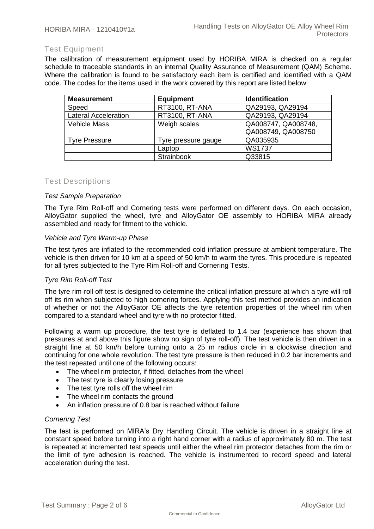#### Test Equipment

The calibration of measurement equipment used by HORIBA MIRA is checked on a regular schedule to traceable standards in an internal Quality Assurance of Measurement (QAM) Scheme. Where the calibration is found to be satisfactory each item is certified and identified with a QAM code. The codes for the items used in the work covered by this report are listed below:

| <b>Measurement</b>          | <b>Equipment</b>    | <b>Identification</b> |
|-----------------------------|---------------------|-----------------------|
| Speed                       | RT3100, RT-ANA      | QA29193, QA29194      |
| <b>Lateral Acceleration</b> | RT3100, RT-ANA      | QA29193, QA29194      |
| <b>Vehicle Mass</b>         | Weigh scales        | QA008747, QA008748,   |
|                             |                     | QA008749, QA008750    |
| <b>Tyre Pressure</b>        | Tyre pressure gauge | QA035935              |
|                             | Laptop              | <b>WS1737</b>         |
|                             | <b>Strainbook</b>   | Q33815                |

#### Test Descriptions

#### *Test Sample Preparation*

The Tyre Rim Roll-off and Cornering tests were performed on different days. On each occasion, AlloyGator supplied the wheel, tyre and AlloyGator OE assembly to HORIBA MIRA already assembled and ready for fitment to the vehicle.

#### *Vehicle and Tyre Warm-up Phase*

The test tyres are inflated to the recommended cold inflation pressure at ambient temperature. The vehicle is then driven for 10 km at a speed of 50 km/h to warm the tyres. This procedure is repeated for all tyres subjected to the Tyre Rim Roll-off and Cornering Tests.

#### *Tyre Rim Roll-off Test*

The tyre rim-roll off test is designed to determine the critical inflation pressure at which a tyre will roll off its rim when subjected to high cornering forces. Applying this test method provides an indication of whether or not the AlloyGator OE affects the tyre retention properties of the wheel rim when compared to a standard wheel and tyre with no protector fitted.

Following a warm up procedure, the test tyre is deflated to 1.4 bar (experience has shown that pressures at and above this figure show no sign of tyre roll-off). The test vehicle is then driven in a straight line at 50 km/h before turning onto a 25 m radius circle in a clockwise direction and continuing for one whole revolution. The test tyre pressure is then reduced in 0.2 bar increments and the test repeated until one of the following occurs:

- The wheel rim protector, if fitted, detaches from the wheel
- The test tyre is clearly losing pressure
- The test tyre rolls off the wheel rim
- The wheel rim contacts the ground
- An inflation pressure of 0.8 bar is reached without failure

#### *Cornering Test*

The test is performed on MIRA's Dry Handling Circuit. The vehicle is driven in a straight line at constant speed before turning into a right hand corner with a radius of approximately 80 m. The test is repeated at incremented test speeds until either the wheel rim protector detaches from the rim or the limit of tyre adhesion is reached. The vehicle is instrumented to record speed and lateral acceleration during the test.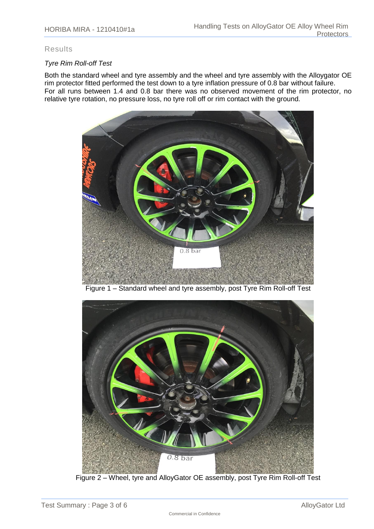#### Results

#### *Tyre Rim Roll-off Test*

Both the standard wheel and tyre assembly and the wheel and tyre assembly with the Alloygator OE rim protector fitted performed the test down to a tyre inflation pressure of 0.8 bar without failure. For all runs between 1.4 and 0.8 bar there was no observed movement of the rim protector, no relative tyre rotation, no pressure loss, no tyre roll off or rim contact with the ground.



Figure 1 – Standard wheel and tyre assembly, post Tyre Rim Roll-off Test



Figure 2 – Wheel, tyre and AlloyGator OE assembly, post Tyre Rim Roll-off Test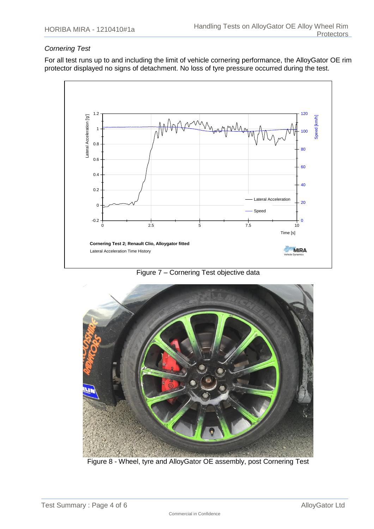#### *Cornering Test*

For all test runs up to and including the limit of vehicle cornering performance, the AlloyGator OE rim protector displayed no signs of detachment. No loss of tyre pressure occurred during the test.



Figure 7 – Cornering Test objective data



Figure 8 - Wheel, tyre and AlloyGator OE assembly, post Cornering Test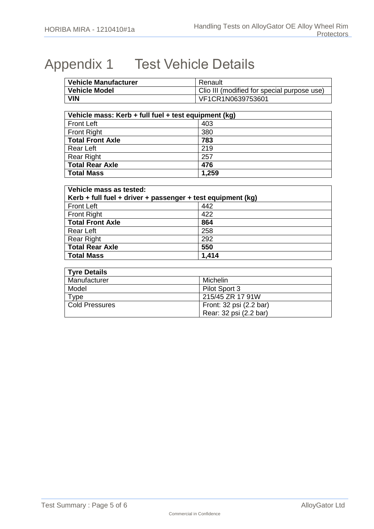# Appendix 1 Test Vehicle Details

| <b>Vehicle Manufacturer</b> | Renault                                     |
|-----------------------------|---------------------------------------------|
| <b>Vehicle Model</b>        | Clio III (modified for special purpose use) |
| <b>VIN</b>                  | VF1CR1N0639753601                           |

| Vehicle mass: Kerb + full fuel + test equipment (kg) |       |  |
|------------------------------------------------------|-------|--|
| <b>Front Left</b>                                    | 403   |  |
| <b>Front Right</b>                                   | 380   |  |
| <b>Total Front Axle</b>                              | 783   |  |
| <b>Rear Left</b>                                     | 219   |  |
| <b>Rear Right</b>                                    | 257   |  |
| <b>Total Rear Axle</b>                               | 476   |  |
| <b>Total Mass</b>                                    | 1,259 |  |

| Vehicle mass as tested:                                     |       |  |  |
|-------------------------------------------------------------|-------|--|--|
| Kerb + full fuel + driver + passenger + test equipment (kg) |       |  |  |
| <b>Front Left</b>                                           | 442   |  |  |
| <b>Front Right</b>                                          | 422   |  |  |
| <b>Total Front Axle</b>                                     | 864   |  |  |
| <b>Rear Left</b>                                            | 258   |  |  |
| <b>Rear Right</b>                                           | 292   |  |  |
| <b>Total Rear Axle</b>                                      | 550   |  |  |
| <b>Total Mass</b>                                           | 1,414 |  |  |

| <b>Tyre Details</b>   |                         |  |
|-----------------------|-------------------------|--|
| Manufacturer          | Michelin                |  |
| Model                 | Pilot Sport 3           |  |
| $\tau_{\texttt{Vpe}}$ | 215/45 ZR 17 91W        |  |
| Cold Pressures        | Front: 32 psi (2.2 bar) |  |
|                       | Rear: 32 psi (2.2 bar)  |  |